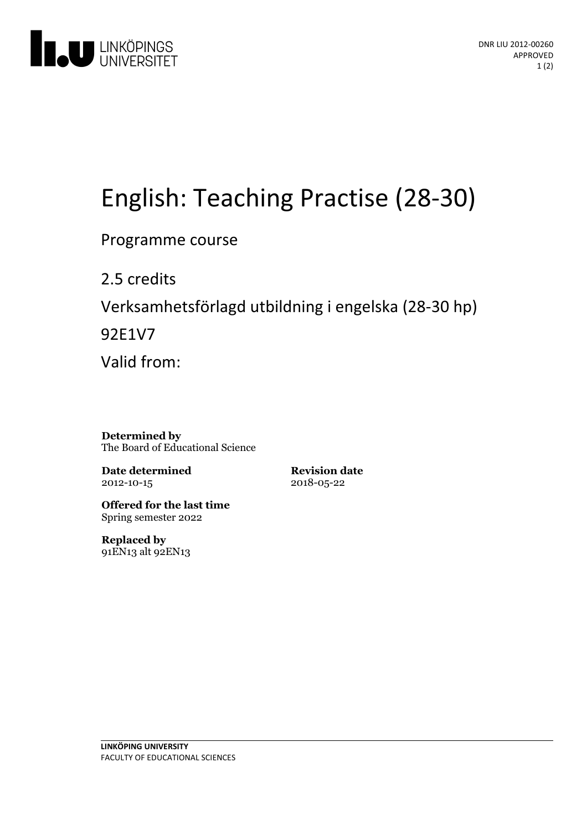

# English:Teaching Practise (28-30)

Programme course

2.5 credits Verksamhetsförlagd utbildningi engelska(28-30 hp) 92E1V7 Valid from:

**Determined by** The Board of Educational Science

**Date determined** 2012-10-15

**Revision date** 2018-05-22

**Offered for the last time** Spring semester 2022

**Replaced by** 91EN13 alt 92EN13